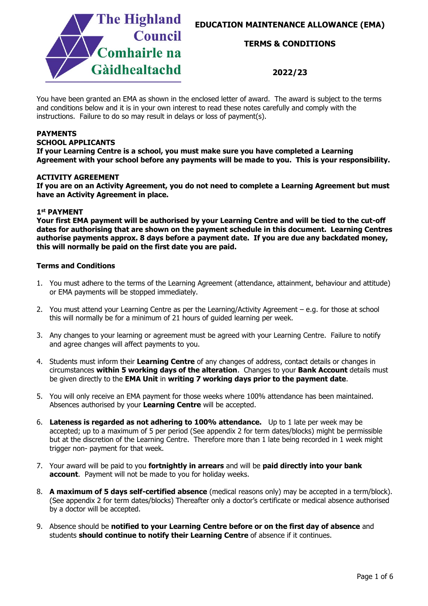



### **TERMS & CONDITIONS**

### **2022/23**

You have been granted an EMA as shown in the enclosed letter of award. The award is subject to the terms and conditions below and it is in your own interest to read these notes carefully and comply with the instructions. Failure to do so may result in delays or loss of payment(s).

### **PAYMENTS**

### **SCHOOL APPLICANTS**

**If your Learning Centre is a school, you must make sure you have completed a Learning Agreement with your school before any payments will be made to you. This is your responsibility.**

#### **ACTIVITY AGREEMENT**

**If you are on an Activity Agreement, you do not need to complete a Learning Agreement but must have an Activity Agreement in place.**

#### **1st PAYMENT**

**Your first EMA payment will be authorised by your Learning Centre and will be tied to the cut-off dates for authorising that are shown on the payment schedule in this document. Learning Centres authorise payments approx. 8 days before a payment date. If you are due any backdated money, this will normally be paid on the first date you are paid.**

### **Terms and Conditions**

- 1. You must adhere to the terms of the Learning Agreement (attendance, attainment, behaviour and attitude) or EMA payments will be stopped immediately.
- 2. You must attend your Learning Centre as per the Learning/Activity Agreement e.g. for those at school this will normally be for a minimum of 21 hours of guided learning per week.
- 3. Any changes to your learning or agreement must be agreed with your Learning Centre. Failure to notify and agree changes will affect payments to you.
- 4. Students must inform their **Learning Centre** of any changes of address, contact details or changes in circumstances **within 5 working days of the alteration**. Changes to your **Bank Account** details must be given directly to the **EMA Unit** in **writing 7 working days prior to the payment date**.
- 5. You will only receive an EMA payment for those weeks where 100% attendance has been maintained. Absences authorised by your **Learning Centre** will be accepted.
- 6. **Lateness is regarded as not adhering to 100% attendance.** Up to 1 late per week may be accepted; up to a maximum of 5 per period (See appendix 2 for term dates/blocks) might be permissible but at the discretion of the Learning Centre. Therefore more than 1 late being recorded in 1 week might trigger non- payment for that week.
- 7. Your award will be paid to you **fortnightly in arrears** and will be **paid directly into your bank account**. Payment will not be made to you for holiday weeks.
- 8. **A maximum of 5 days self-certified absence** (medical reasons only) may be accepted in a term/block). (See appendix 2 for term dates/blocks) Thereafter only a doctor's certificate or medical absence authorised by a doctor will be accepted.
- 9. Absence should be **notified to your Learning Centre before or on the first day of absence** and students **should continue to notify their Learning Centre** of absence if it continues.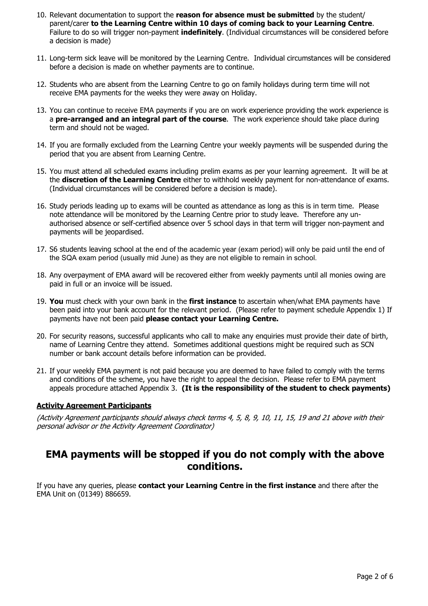- 10. Relevant documentation to support the **reason for absence must be submitted** by the student/ parent/carer **to the Learning Centre within 10 days of coming back to your Learning Centre**. Failure to do so will trigger non-payment **indefinitely**. (Individual circumstances will be considered before a decision is made)
- 11. Long-term sick leave will be monitored by the Learning Centre. Individual circumstances will be considered before a decision is made on whether payments are to continue.
- 12. Students who are absent from the Learning Centre to go on family holidays during term time will not receive EMA payments for the weeks they were away on Holiday.
- 13. You can continue to receive EMA payments if you are on work experience providing the work experience is a **pre-arranged and an integral part of the course**. The work experience should take place during term and should not be waged.
- 14. If you are formally excluded from the Learning Centre your weekly payments will be suspended during the period that you are absent from Learning Centre.
- 15. You must attend all scheduled exams including prelim exams as per your learning agreement. It will be at the **discretion of the Learning Centre** either to withhold weekly payment for non-attendance of exams. (Individual circumstances will be considered before a decision is made).
- 16. Study periods leading up to exams will be counted as attendance as long as this is in term time. Please note attendance will be monitored by the Learning Centre prior to study leave. Therefore any unauthorised absence or self-certified absence over 5 school days in that term will trigger non-payment and payments will be jeopardised.
- 17. S6 students leaving school at the end of the academic year (exam period) will only be paid until the end of the SQA exam period (usually mid June) as they are not eligible to remain in school.
- 18. Any overpayment of EMA award will be recovered either from weekly payments until all monies owing are paid in full or an invoice will be issued.
- 19. **You** must check with your own bank in the **first instance** to ascertain when/what EMA payments have been paid into your bank account for the relevant period. (Please refer to payment schedule Appendix 1) If payments have not been paid **please contact your Learning Centre.**
- 20. For security reasons, successful applicants who call to make any enquiries must provide their date of birth, name of Learning Centre they attend. Sometimes additional questions might be required such as SCN number or bank account details before information can be provided.
- 21. If your weekly EMA payment is not paid because you are deemed to have failed to comply with the terms and conditions of the scheme, you have the right to appeal the decision. Please refer to EMA payment appeals procedure attached Appendix 3. **(It is the responsibility of the student to check payments)**

### **Activity Agreement Participants**

(Activity Agreement participants should always check terms 4, 5, 8, 9, 10, 11, 15, 19 and 21 above with their personal advisor or the Activity Agreement Coordinator)

### **EMA payments will be stopped if you do not comply with the above conditions.**

If you have any queries, please **contact your Learning Centre in the first instance** and there after the EMA Unit on (01349) 886659.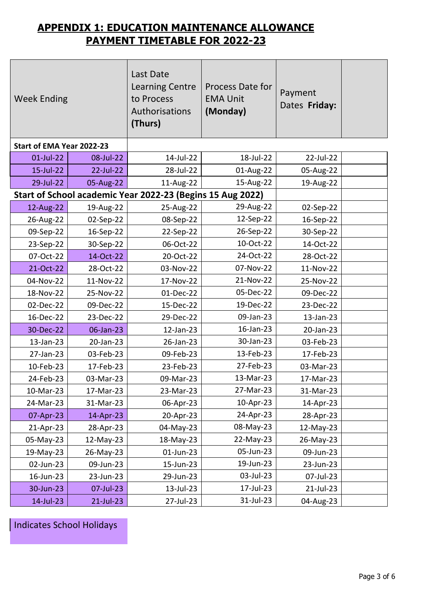## **APPENDIX 1: EDUCATION MAINTENANCE ALLOWANCE PAYMENT TIMETABLE FOR 2022-23**

| <b>Week Ending</b>        |           | Last Date<br><b>Learning Centre</b><br>to Process<br>Authorisations<br>(Thurs) | <b>Process Date for</b><br><b>EMA Unit</b><br>(Monday) | Payment<br>Dates Friday: |  |
|---------------------------|-----------|--------------------------------------------------------------------------------|--------------------------------------------------------|--------------------------|--|
| Start of EMA Year 2022-23 |           |                                                                                |                                                        |                          |  |
| 01-Jul-22                 | 08-Jul-22 | 14-Jul-22                                                                      | 18-Jul-22                                              | 22-Jul-22                |  |
| 15-Jul-22                 | 22-Jul-22 | 28-Jul-22                                                                      | 01-Aug-22                                              | 05-Aug-22                |  |
| 29-Jul-22                 | 05-Aug-22 | 11-Aug-22                                                                      | 15-Aug-22                                              | 19-Aug-22                |  |
|                           |           | Start of School academic Year 2022-23 (Begins 15 Aug 2022)                     |                                                        |                          |  |
| 12-Aug-22                 | 19-Aug-22 | 25-Aug-22                                                                      | 29-Aug-22                                              | 02-Sep-22                |  |
| 26-Aug-22                 | 02-Sep-22 | 08-Sep-22                                                                      | 12-Sep-22                                              | 16-Sep-22                |  |
| 09-Sep-22                 | 16-Sep-22 | 22-Sep-22                                                                      | 26-Sep-22                                              | 30-Sep-22                |  |
| 23-Sep-22                 | 30-Sep-22 | 06-Oct-22                                                                      | 10-Oct-22                                              | 14-Oct-22                |  |
| 07-Oct-22                 | 14-Oct-22 | 20-Oct-22                                                                      | 24-Oct-22                                              | 28-Oct-22                |  |
| 21-Oct-22                 | 28-Oct-22 | 03-Nov-22                                                                      | 07-Nov-22                                              | 11-Nov-22                |  |
| 04-Nov-22                 | 11-Nov-22 | 17-Nov-22                                                                      | 21-Nov-22                                              | 25-Nov-22                |  |
| 18-Nov-22                 | 25-Nov-22 | 01-Dec-22                                                                      | 05-Dec-22                                              | 09-Dec-22                |  |
| 02-Dec-22                 | 09-Dec-22 | 15-Dec-22                                                                      | 19-Dec-22                                              | 23-Dec-22                |  |
| 16-Dec-22                 | 23-Dec-22 | 29-Dec-22                                                                      | 09-Jan-23                                              | 13-Jan-23                |  |
| 30-Dec-22                 | 06-Jan-23 | 12-Jan-23                                                                      | 16-Jan-23                                              | 20-Jan-23                |  |
| 13-Jan-23                 | 20-Jan-23 | 26-Jan-23                                                                      | 30-Jan-23                                              | 03-Feb-23                |  |
| 27-Jan-23                 | 03-Feb-23 | 09-Feb-23                                                                      | 13-Feb-23                                              | 17-Feb-23                |  |
| 10-Feb-23                 | 17-Feb-23 | 23-Feb-23                                                                      | 27-Feb-23                                              | 03-Mar-23                |  |
| 24-Feb-23                 | 03-Mar-23 | 09-Mar-23                                                                      | 13-Mar-23                                              | 17-Mar-23                |  |
| 10-Mar-23                 | 17-Mar-23 | 23-Mar-23                                                                      | 27-Mar-23                                              | 31-Mar-23                |  |
| 24-Mar-23                 | 31-Mar-23 | 06-Apr-23                                                                      | 10-Apr-23                                              | 14-Apr-23                |  |
| 07-Apr-23                 | 14-Apr-23 | 20-Apr-23                                                                      | 24-Apr-23                                              | 28-Apr-23                |  |
| 21-Apr-23                 | 28-Apr-23 | 04-May-23                                                                      | 08-May-23                                              | 12-May-23                |  |
| 05-May-23                 | 12-May-23 | 18-May-23                                                                      | 22-May-23                                              | 26-May-23                |  |
| 19-May-23                 | 26-May-23 | 01-Jun-23                                                                      | 05-Jun-23                                              | 09-Jun-23                |  |
| 02-Jun-23                 | 09-Jun-23 | 15-Jun-23                                                                      | 19-Jun-23                                              | 23-Jun-23                |  |
| 16-Jun-23                 | 23-Jun-23 | 29-Jun-23                                                                      | 03-Jul-23                                              | 07-Jul-23                |  |
| 30-Jun-23                 | 07-Jul-23 | 13-Jul-23                                                                      | 17-Jul-23                                              | 21-Jul-23                |  |
| 14-Jul-23                 | 21-Jul-23 | 27-Jul-23                                                                      | 31-Jul-23                                              | 04-Aug-23                |  |

Indicates School Holidays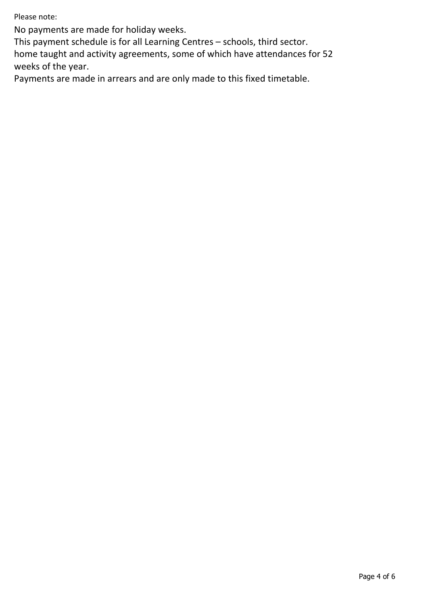Please note:

No payments are made for holiday weeks.

This payment schedule is for all Learning Centres – schools, third sector.

home taught and activity agreements, some of which have attendances for 52 weeks of the year.

Payments are made in arrears and are only made to this fixed timetable.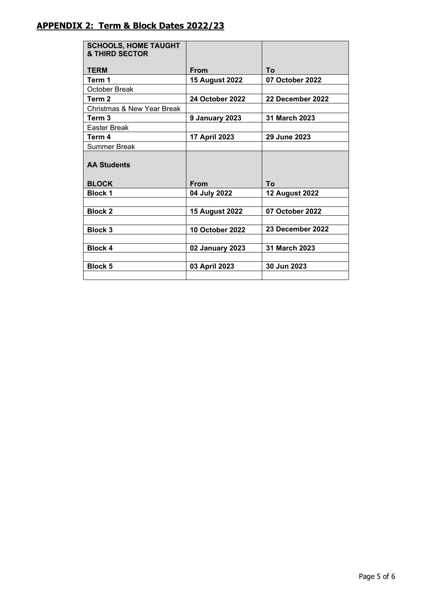| <b>SCHOOLS, HOME TAUGHT</b><br>& THIRD SECTOR |                        |                       |
|-----------------------------------------------|------------------------|-----------------------|
| <b>TERM</b>                                   | From                   | Τo                    |
| Term 1                                        | <b>15 August 2022</b>  | 07 October 2022       |
| <b>October Break</b>                          |                        |                       |
| Term <sub>2</sub>                             | <b>24 October 2022</b> | 22 December 2022      |
| <b>Christmas &amp; New Year Break</b>         |                        |                       |
| Term <sub>3</sub>                             | 9 January 2023         | 31 March 2023         |
| <b>Easter Break</b>                           |                        |                       |
| Term 4                                        | 17 April 2023          | 29 June 2023          |
| <b>Summer Break</b>                           |                        |                       |
| <b>AA Students</b>                            |                        |                       |
| <b>BLOCK</b>                                  | <b>From</b>            | To                    |
| <b>Block 1</b>                                | 04 July 2022           | <b>12 August 2022</b> |
| <b>Block 2</b>                                | <b>15 August 2022</b>  | 07 October 2022       |
| <b>Block 3</b>                                | 10 October 2022        | 23 December 2022      |
|                                               |                        |                       |
| <b>Block 4</b>                                | 02 January 2023        | 31 March 2023         |
|                                               |                        |                       |
| <b>Block 5</b>                                | 03 April 2023          | 30 Jun 2023           |
|                                               |                        |                       |